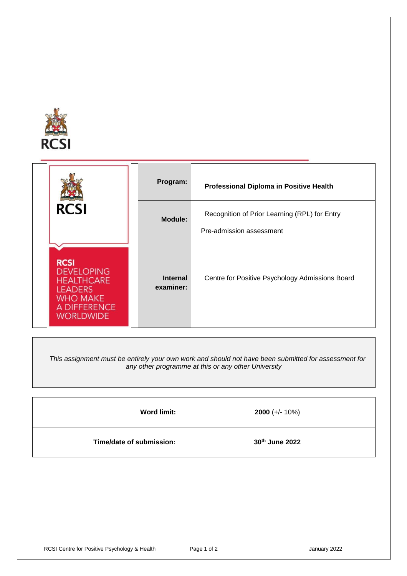

|                                                                                                                                | Program:                     | Professional Diploma in Positive Health                                   |
|--------------------------------------------------------------------------------------------------------------------------------|------------------------------|---------------------------------------------------------------------------|
| <b>RCSI</b>                                                                                                                    | Module:                      | Recognition of Prior Learning (RPL) for Entry<br>Pre-admission assessment |
| <b>RCSI</b><br><b>DEVELOPING</b><br><b>HEALTHCARE</b><br><b>LEADERS</b><br><b>WHO MAKE</b><br>A DIFFERENCE<br><b>WORLDWIDE</b> | <b>Internal</b><br>examiner: | Centre for Positive Psychology Admissions Board                           |

 *This assignment must be entirely your own work and should not have been submitted for assessment for any other programme at this or any other University* 

| <b>Word limit:</b>       | $2000 (+/- 10%)$ |
|--------------------------|------------------|
| Time/date of submission: | 30th June 2022   |